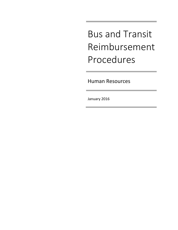Bus and Transit Reimbursement Procedures

Human Resources

January 2016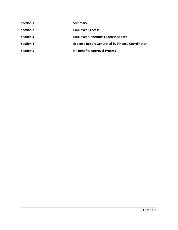**Section 1 Summary Section 2 Employee Process Section 3 Employee Generates Expense Report Section 4 Expense Report Generated by Finance Coordinator Section 5 HR Benefits Approval Process**